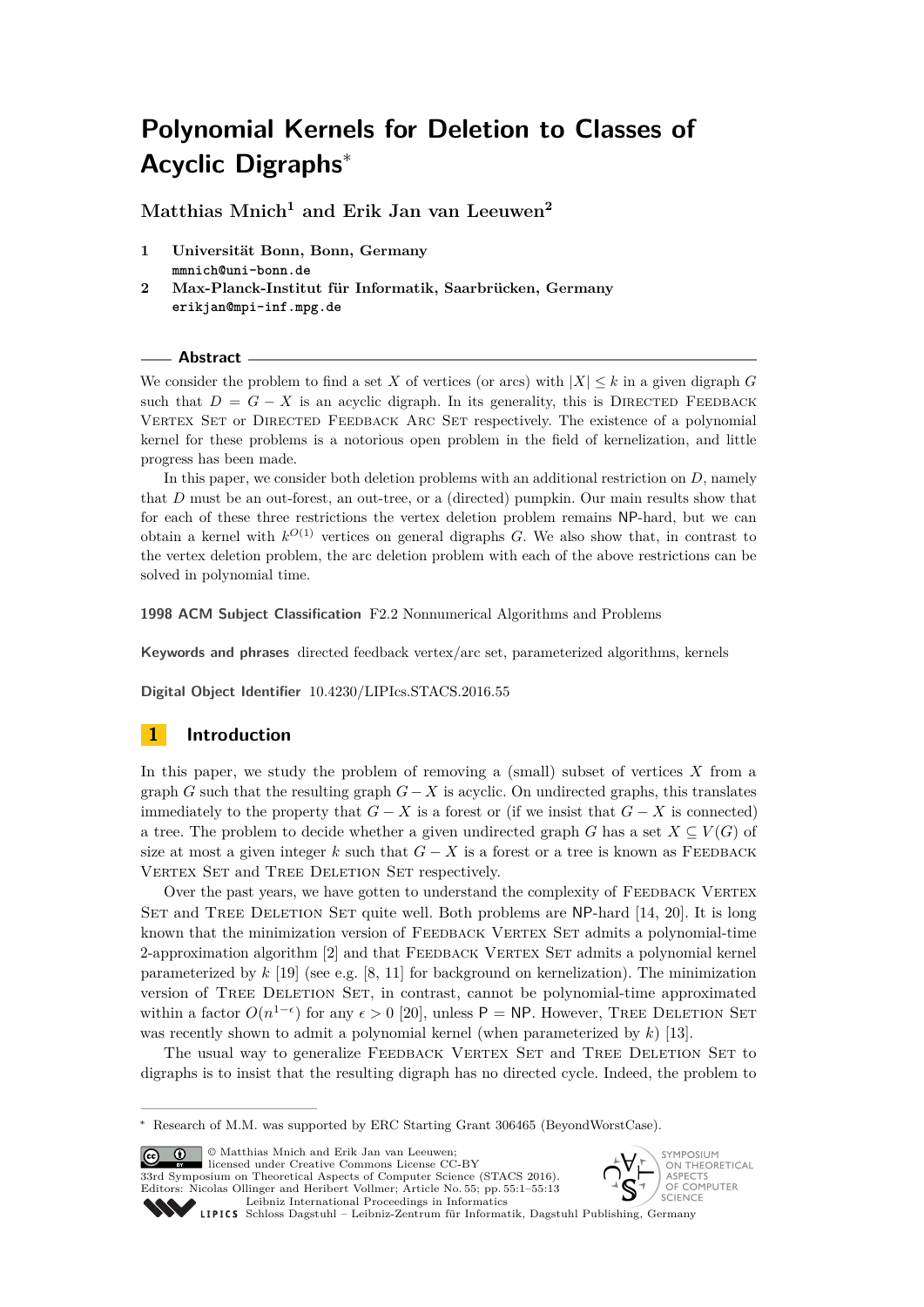# **Polynomial Kernels for Deletion to Classes of Acyclic Digraphs**<sup>∗</sup>

**Matthias Mnich<sup>1</sup> and Erik Jan van Leeuwen<sup>2</sup>**

- **1 Universität Bonn, Bonn, Germany mmnich@uni-bonn.de**
- **2 Max-Planck-Institut für Informatik, Saarbrücken, Germany erikjan@mpi-inf.mpg.de**

## **Abstract**

We consider the problem to find a set *X* of vertices (or arcs) with  $|X| \leq k$  in a given digraph *G* such that  $D = G - X$  is an acyclic digraph. In its generality, this is DIRECTED FEEDBACK VERTEX SET OF DIRECTED FEEDBACK ARC SET respectively. The existence of a polynomial kernel for these problems is a notorious open problem in the field of kernelization, and little progress has been made.

In this paper, we consider both deletion problems with an additional restriction on *D*, namely that *D* must be an out-forest, an out-tree, or a (directed) pumpkin. Our main results show that for each of these three restrictions the vertex deletion problem remains NP-hard, but we can obtain a kernel with  $k^{O(1)}$  vertices on general digraphs *G*. We also show that, in contrast to the vertex deletion problem, the arc deletion problem with each of the above restrictions can be solved in polynomial time.

**1998 ACM Subject Classification** F2.2 Nonnumerical Algorithms and Problems

**Keywords and phrases** directed feedback vertex/arc set, parameterized algorithms, kernels

**Digital Object Identifier** [10.4230/LIPIcs.STACS.2016.55](http://dx.doi.org/10.4230/LIPIcs.STACS.2016.55)

# **1 Introduction**

In this paper, we study the problem of removing a (small) subset of vertices X from a graph *G* such that the resulting graph  $G - X$  is acyclic. On undirected graphs, this translates immediately to the property that  $G - X$  is a forest or (if we insist that  $G - X$  is connected) a tree. The problem to decide whether a given undirected graph *G* has a set  $X \subseteq V(G)$  of size at most a given integer k such that  $G - X$  is a forest or a tree is known as FEEDBACK VERTEX SET and TREE DELETION SET respectively.

Over the past years, we have gotten to understand the complexity of FEEDBACK VERTEX SET and TREE DELETION SET quite well. Both problems are NP-hard [\[14,](#page-12-0) [20\]](#page-12-1). It is long known that the minimization version of FEEDBACK VERTEX SET admits a polynomial-time 2-approximation algorithm [\[2\]](#page-12-2) and that FEEDBACK VERTEX SET admits a polynomial kernel parameterized by *k* [\[19\]](#page-12-3) (see e.g. [\[8,](#page-12-4) [11\]](#page-12-5) for background on kernelization). The minimization version of Tree Deletion Set, in contrast, cannot be polynomial-time approximated within a factor  $O(n^{1-\epsilon})$  for any  $\epsilon > 0$  [\[20\]](#page-12-1), unless P = NP. However, TREE DELETION SET was recently shown to admit a polynomial kernel (when parameterized by *k*) [\[13\]](#page-12-6).

The usual way to generalize FEEDBACK VERTEX SET and TREE DELETION SET to digraphs is to insist that the resulting digraph has no directed cycle. Indeed, the problem to

© Matthias Mnich and Erik Jan van Leeuwen; licensed under Creative Commons License CC-BY 33rd Symposium on Theoretical Aspects of Computer Science (STACS 2016). Editors: Nicolas Ollinger and Heribert Vollmer; Article No. 55; pp. 55:1–55[:13](#page-12-7)



[Leibniz International Proceedings in Informatics](http://www.dagstuhl.de/lipics/) Leibniz international russes in missimosische Publishing, Germany<br>LIPICS [Schloss Dagstuhl – Leibniz-Zentrum für Informatik, Dagstuhl Publishing, Germany](http://www.dagstuhl.de)

<sup>∗</sup> Research of M.M. was supported by ERC Starting Grant 306465 (BeyondWorstCase).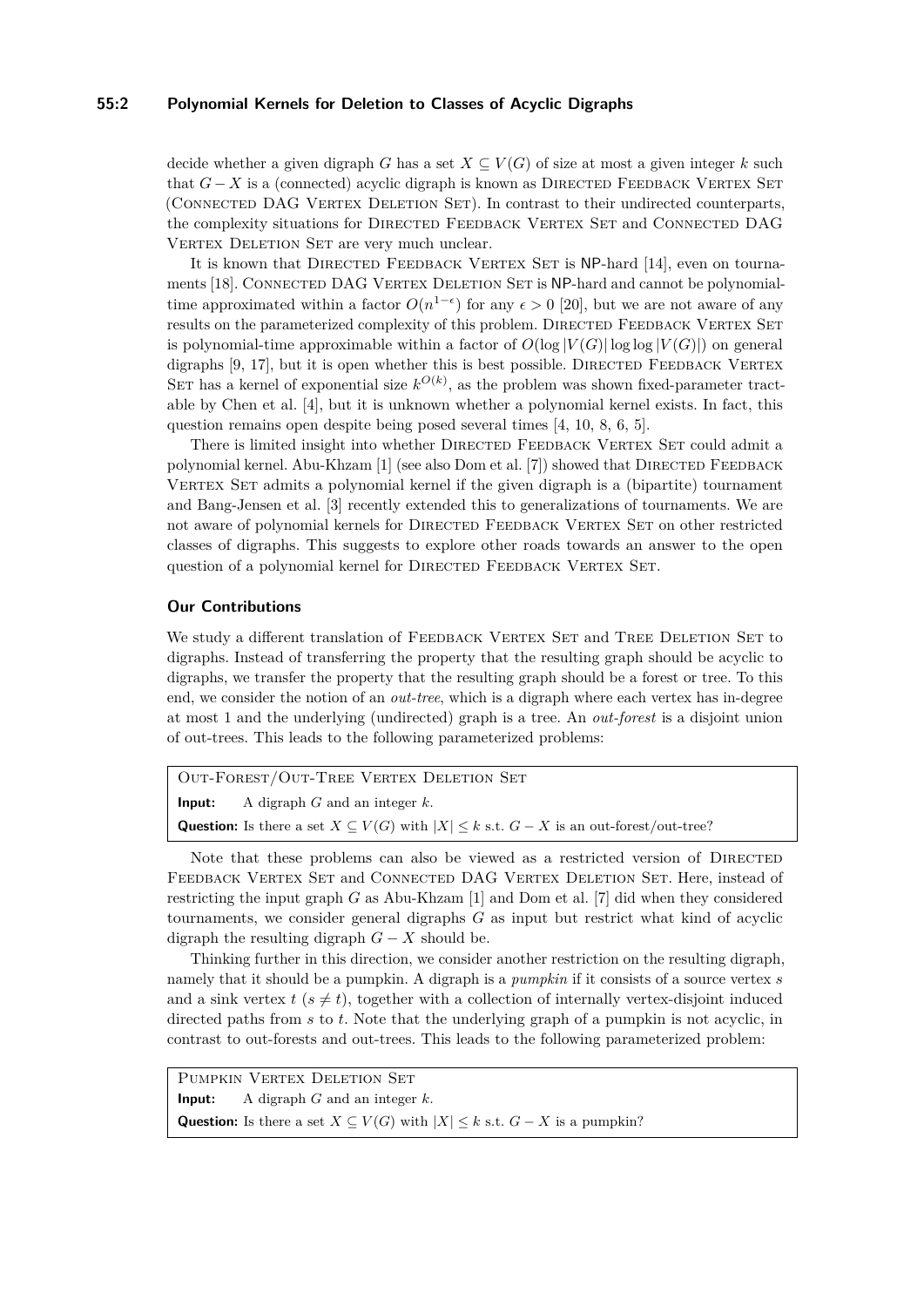## **55:2 Polynomial Kernels for Deletion to Classes of Acyclic Digraphs**

decide whether a given digraph *G* has a set  $X \subseteq V(G)$  of size at most a given integer *k* such that  $G - X$  is a (connected) acyclic digraph is known as DIRECTED FEEDBACK VERTEX SET (Connected DAG Vertex Deletion Set). In contrast to their undirected counterparts, the complexity situations for DIRECTED FEEDBACK VERTEX SET and CONNECTED DAG VERTEX DELETION SET are very much unclear.

It is known that DIRECTED FEEDBACK VERTEX SET is NP-hard [\[14\]](#page-12-0), even on tourna-ments [\[18\]](#page-12-8). CONNECTED DAG VERTEX DELETION SET is NP-hard and cannot be polynomialtime approximated within a factor  $O(n^{1-\epsilon})$  for any  $\epsilon > 0$  [\[20\]](#page-12-1), but we are not aware of any results on the parameterized complexity of this problem. DIRECTED FEEDBACK VERTEX SET is polynomial-time approximable within a factor of  $O(\log |V(G)|)$  log  $\log |V(G)|$ ) on general digraphs  $[9, 17]$  $[9, 17]$  $[9, 17]$ , but it is open whether this is best possible. DIRECTED FEEDBACK VERTEX SET has a kernel of exponential size  $k^{O(k)}$ , as the problem was shown fixed-parameter tractable by Chen et al. [\[4\]](#page-12-11), but it is unknown whether a polynomial kernel exists. In fact, this question remains open despite being posed several times [\[4,](#page-12-11) [10,](#page-12-12) [8,](#page-12-4) [6,](#page-12-13) [5\]](#page-12-14).

There is limited insight into whether DIRECTED FEEDBACK VERTEX SET could admit a polynomial kernel. Abu-Khzam [\[1\]](#page-12-15) (see also Dom et al. [\[7\]](#page-12-16)) showed that DIRECTED FEEDBACK VERTEX SET admits a polynomial kernel if the given digraph is a (bipartite) tournament and Bang-Jensen et al. [\[3\]](#page-12-17) recently extended this to generalizations of tournaments. We are not aware of polynomial kernels for DIRECTED FEEDBACK VERTEX SET on other restricted classes of digraphs. This suggests to explore other roads towards an answer to the open question of a polynomial kernel for DIRECTED FEEDBACK VERTEX SET.

## **Our Contributions**

We study a different translation of FEEDBACK VERTEX SET and TREE DELETION SET to digraphs. Instead of transferring the property that the resulting graph should be acyclic to digraphs, we transfer the property that the resulting graph should be a forest or tree. To this end, we consider the notion of an *out-tree*, which is a digraph where each vertex has in-degree at most 1 and the underlying (undirected) graph is a tree. An *out-forest* is a disjoint union of out-trees. This leads to the following parameterized problems:

| OUT-FOREST/OUT-TREE VERTEX DELETION SET                                                                      |
|--------------------------------------------------------------------------------------------------------------|
| <b>Input:</b> A digraph $G$ and an integer $k$ .                                                             |
| <b>Question:</b> Is there a set $X \subseteq V(G)$ with $ X  \leq k$ s.t. $G - X$ is an out-forest/out-tree? |

Note that these problems can also be viewed as a restricted version of DIRECTED FEEDBACK VERTEX SET and CONNECTED DAG VERTEX DELETION SET. Here, instead of restricting the input graph *G* as Abu-Khzam [\[1\]](#page-12-15) and Dom et al. [\[7\]](#page-12-16) did when they considered tournaments, we consider general digraphs *G* as input but restrict what kind of acyclic digraph the resulting digraph  $G - X$  should be.

Thinking further in this direction, we consider another restriction on the resulting digraph, namely that it should be a pumpkin. A digraph is a *pumpkin* if it consists of a source vertex *s* and a sink vertex  $t$  ( $s \neq t$ ), together with a collection of internally vertex-disjoint induced directed paths from *s* to *t*. Note that the underlying graph of a pumpkin is not acyclic, in contrast to out-forests and out-trees. This leads to the following parameterized problem:

PUMPKIN VERTEX DELETION SET **Input:** A digraph *G* and an integer *k*. **Question:** Is there a set  $X \subseteq V(G)$  with  $|X| \leq k$  s.t.  $G - X$  is a pumpkin?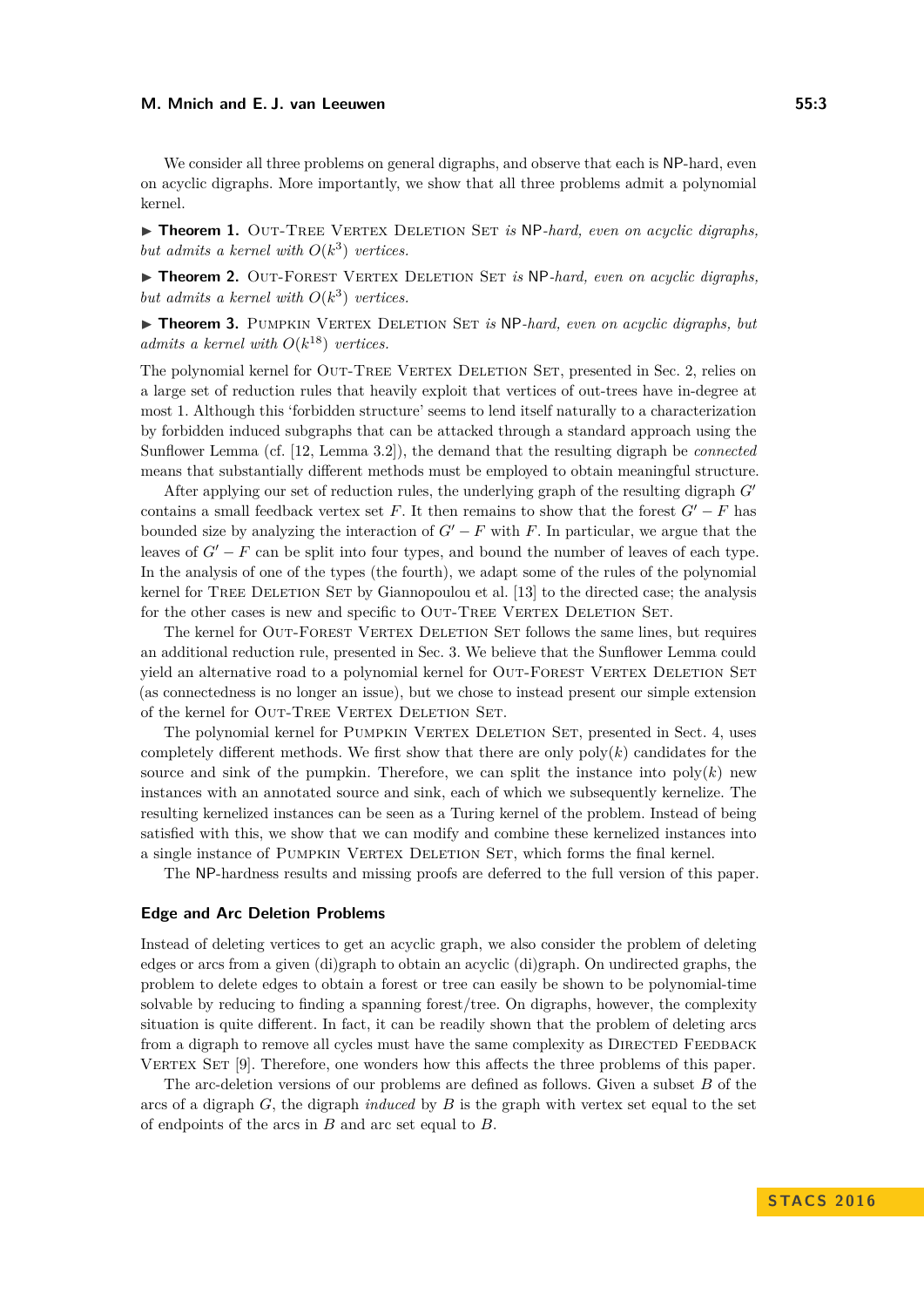We consider all three problems on general digraphs, and observe that each is NP-hard, even on acyclic digraphs. More importantly, we show that all three problems admit a polynomial kernel.

<span id="page-2-0"></span>▶ Theorem 1. OUT-TREE VERTEX DELETION SET *is* NP-hard, even on acyclic digraphs, *but admits a kernel with*  $O(k^3)$  *vertices.* 

▶ Theorem 2. OUT-FOREST VERTEX DELETION SET *is* NP-hard, even on acyclic digraphs, *but admits a kernel with*  $O(k^3)$  *vertices.* 

<span id="page-2-1"></span>▶ Theorem 3. PUMPKIN VERTEX DELETION SET *is* NP-hard, even on acyclic digraphs, but *admits a kernel with*  $O(k^{18})$  *vertices.* 

The polynomial kernel for OUT-TREE VERTEX DELETION SET, presented in Sec. [2,](#page-3-0) relies on a large set of reduction rules that heavily exploit that vertices of out-trees have in-degree at most 1. Although this 'forbidden structure' seems to lend itself naturally to a characterization by forbidden induced subgraphs that can be attacked through a standard approach using the Sunflower Lemma (cf. [\[12,](#page-12-18) Lemma 3.2]), the demand that the resulting digraph be *connected* means that substantially different methods must be employed to obtain meaningful structure.

After applying our set of reduction rules, the underlying graph of the resulting digraph *G'* contains a small feedback vertex set *F*. It then remains to show that the forest  $G'-F$  has bounded size by analyzing the interaction of  $G'-F$  with *F*. In particular, we argue that the leaves of  $G'-F$  can be split into four types, and bound the number of leaves of each type. In the analysis of one of the types (the fourth), we adapt some of the rules of the polynomial kernel for TREE DELETION SET by Giannopoulou et al. [\[13\]](#page-12-6) to the directed case; the analysis for the other cases is new and specific to OUT-TREE VERTEX DELETION SET.

The kernel for OUT-FOREST VERTEX DELETION SET follows the same lines, but requires an additional reduction rule, presented in Sec. [3.](#page-6-0) We believe that the Sunflower Lemma could yield an alternative road to a polynomial kernel for OUT-FOREST VERTEX DELETION SET (as connectedness is no longer an issue), but we chose to instead present our simple extension of the kernel for OUT-TREE VERTEX DELETION SET.

The polynomial kernel for PUMPKIN VERTEX DELETION SET, presented in Sect. [4,](#page-7-0) uses completely different methods. We first show that there are only  $poly(k)$  candidates for the source and sink of the pumpkin. Therefore, we can split the instance into  $poly(k)$  new instances with an annotated source and sink, each of which we subsequently kernelize. The resulting kernelized instances can be seen as a Turing kernel of the problem. Instead of being satisfied with this, we show that we can modify and combine these kernelized instances into a single instance of Pumpkin Vertex Deletion Set, which forms the final kernel.

The NP-hardness results and missing proofs are deferred to the full version of this paper.

## **Edge and Arc Deletion Problems**

Instead of deleting vertices to get an acyclic graph, we also consider the problem of deleting edges or arcs from a given (di)graph to obtain an acyclic (di)graph. On undirected graphs, the problem to delete edges to obtain a forest or tree can easily be shown to be polynomial-time solvable by reducing to finding a spanning forest/tree. On digraphs, however, the complexity situation is quite different. In fact, it can be readily shown that the problem of deleting arcs from a digraph to remove all cycles must have the same complexity as DIRECTED FEEDBACK VERTEX SET [\[9\]](#page-12-9). Therefore, one wonders how this affects the three problems of this paper.

The arc-deletion versions of our problems are defined as follows. Given a subset *B* of the arcs of a digraph *G*, the digraph *induced* by *B* is the graph with vertex set equal to the set of endpoints of the arcs in *B* and arc set equal to *B*.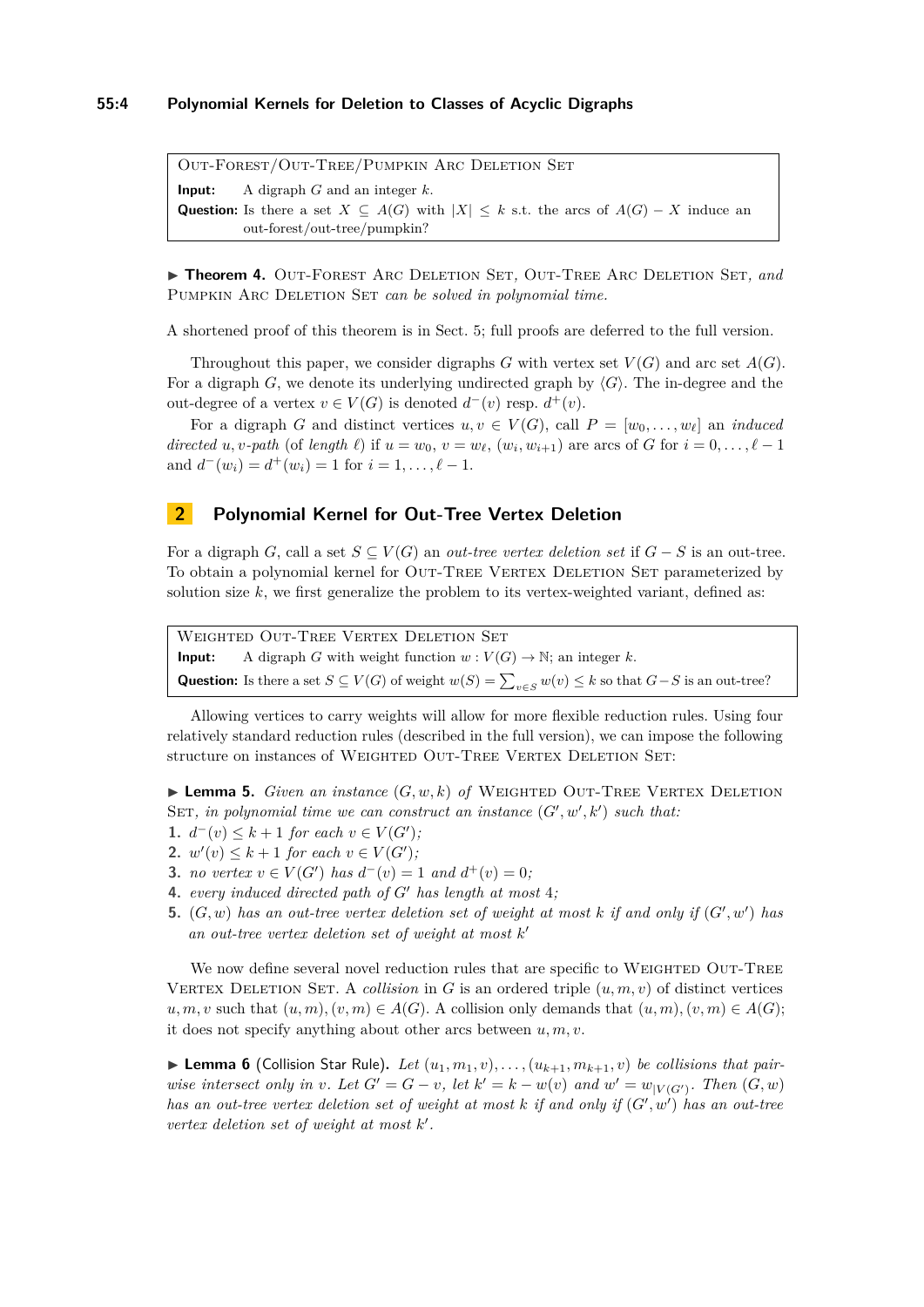Out-Forest/Out-Tree/Pumpkin Arc Deletion Set **Input:** A digraph *G* and an integer *k*. **Question:** Is there a set  $X \subseteq A(G)$  with  $|X| \leq k$  s.t. the arcs of  $A(G) - X$  induce an out-forest/out-tree/pumpkin?

<span id="page-3-7"></span>I **Theorem 4.** Out-Forest Arc Deletion Set*,* Out-Tree Arc Deletion Set*, and* PUMPKIN ARC DELETION SET *can be solved in polynomial time*.

A shortened proof of this theorem is in Sect. [5;](#page-10-0) full proofs are deferred to the full version.

Throughout this paper, we consider digraphs *G* with vertex set  $V(G)$  and arc set  $A(G)$ . For a digraph *G*, we denote its underlying undirected graph by  $\langle G \rangle$ . The in-degree and the out-degree of a vertex  $v \in V(G)$  is denoted  $d^-(v)$  resp.  $d^+(v)$ .

For a digraph *G* and distinct vertices  $u, v \in V(G)$ , call  $P = [w_0, \ldots, w_\ell]$  an *induced directed u, v*-path (of *length*  $\ell$ ) if  $u = w_0$ ,  $v = w_\ell$ ,  $(w_i, w_{i+1})$  are arcs of *G* for  $i = 0, \ldots, \ell - 1$ and  $d^-(w_i) = d^+(w_i) = 1$  for  $i = 1, ..., \ell - 1$ .

# <span id="page-3-0"></span>**2 Polynomial Kernel for Out-Tree Vertex Deletion**

For a digraph *G*, call a set  $S \subseteq V(G)$  an *out-tree vertex deletion set* if  $G - S$  is an out-tree. To obtain a polynomial kernel for Out-Tree Vertex Deletion Set parameterized by solution size  $k$ , we first generalize the problem to its vertex-weighted variant, defined as:

WEIGHTED OUT-TREE VERTEX DELETION SET **Input:** A digraph *G* with weight function  $w: V(G) \to \mathbb{N}$ ; an integer *k*. Question: Is there a set  $S \subseteq V(G)$  of weight  $w(S) = \sum_{v \in S} w(v) \leq k$  so that  $G - S$  is an out-tree?

Allowing vertices to carry weights will allow for more flexible reduction rules. Using four relatively standard reduction rules (described in the full version), we can impose the following structure on instances of WEIGHTED OUT-TREE VERTEX DELETION SET:

<span id="page-3-1"></span> $\blacktriangleright$  **Lemma 5.** *Given an instance*  $(G, w, k)$  *of* WEIGHTED OUT-TREE VERTEX DELETION SET, in polynomial time we can construct an instance  $(G', w', k')$  such that:

- <span id="page-3-2"></span>**1.**  $d^-(v) \leq k+1$  *for each*  $v \in V(G')$ *;*
- <span id="page-3-6"></span>**2.**  $w'(v) \leq k+1$  *for each*  $v \in V(G')$ *;*
- <span id="page-3-3"></span>**3.** *no vertex*  $v \in V(G')$  *has*  $d^-(v) = 1$  *and*  $d^+(v) = 0$ *;*
- <span id="page-3-5"></span>**4.** *every induced directed path of*  $G'$  *has length at most* 4*;*
- **5.**  $(G, w)$  has an out-tree vertex deletion set of weight at most k if and only if  $(G', w')$  has *an out-tree vertex deletion set of weight at most k* 0

We now define several novel reduction rules that are specific to WEIGHTED OUT-TREE VERTEX DELETION SET. A *collision* in *G* is an ordered triple  $(u, m, v)$  of distinct vertices *u, m, v* such that  $(u, m)$ *,* $(v, m) \in A(G)$ . A collision only demands that  $(u, m)$ *,* $(v, m) \in A(G)$ ; it does not specify anything about other arcs between *u, m, v*.

<span id="page-3-4"></span> $\blacktriangleright$  **Lemma 6** (Collision Star Rule). Let  $(u_1, m_1, v), \ldots, (u_{k+1}, m_{k+1}, v)$  be collisions that pair*wise intersect only in v. Let*  $G' = G - v$ *, let*  $k' = k - w(v)$  *and*  $w' = w_{|V(G')}$ *. Then*  $(G, w)$ *has an out-tree vertex deletion set of weight at most*  $k$  *if and only if*  $(G', w')$  *has an out-tree* vertex deletion set of weight at most  $k'$ .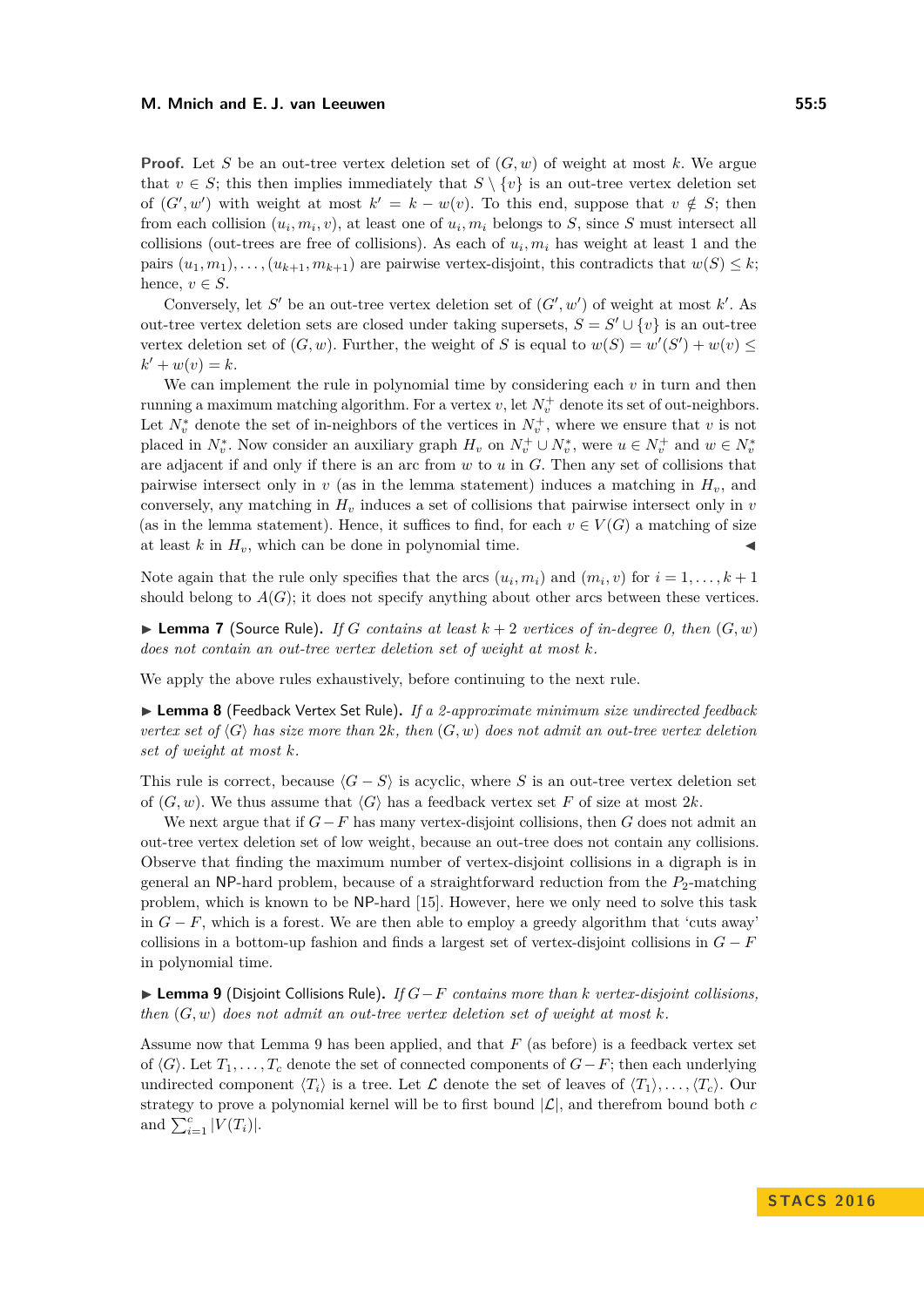**Proof.** Let *S* be an out-tree vertex deletion set of (*G, w*) of weight at most *k*. We argue that  $v \in S$ ; this then implies immediately that  $S \setminus \{v\}$  is an out-tree vertex deletion set of  $(G', w')$  with weight at most  $k' = k - w(v)$ . To this end, suppose that  $v \notin S$ ; then from each collision  $(u_i, m_i, v)$ , at least one of  $u_i, m_i$  belongs to *S*, since *S* must intersect all collisions (out-trees are free of collisions). As each of  $u_i, m_i$  has weight at least 1 and the pairs  $(u_1, m_1), \ldots, (u_{k+1}, m_{k+1})$  are pairwise vertex-disjoint, this contradicts that  $w(S) \leq k$ ; hence,  $v \in S$ .

Conversely, let S' be an out-tree vertex deletion set of  $(G', w')$  of weight at most k'. As out-tree vertex deletion sets are closed under taking supersets,  $S = S' \cup \{v\}$  is an out-tree vertex deletion set of  $(G, w)$ . Further, the weight of *S* is equal to  $w(S) = w'(S') + w(v) \le$  $k' + w(v) = k.$ 

We can implement the rule in polynomial time by considering each *v* in turn and then running a maximum matching algorithm. For a vertex  $v$ , let  $N_v^+$  denote its set of out-neighbors. Let  $N_v^*$  denote the set of in-neighbors of the vertices in  $N_v^+$ , where we ensure that *v* is not placed in  $N_v^*$ . Now consider an auxiliary graph  $H_v$  on  $N_v^+ \cup N_v^*$ , were  $u \in N_v^+$  and  $w \in N_v^*$ are adjacent if and only if there is an arc from *w* to *u* in *G*. Then any set of collisions that pairwise intersect only in *v* (as in the lemma statement) induces a matching in  $H<sub>v</sub>$ , and conversely, any matching in  $H_v$  induces a set of collisions that pairwise intersect only in  $v$ (as in the lemma statement). Hence, it suffices to find, for each  $v \in V(G)$  a matching of size at least  $k$  in  $H_v$ , which can be done in polynomial time.

Note again that the rule only specifies that the arcs  $(u_i, m_i)$  and  $(m_i, v)$  for  $i = 1, \ldots, k + 1$ should belong to  $A(G)$ ; it does not specify anything about other arcs between these vertices.

<span id="page-4-1"></span>**Lemma 7** (Source Rule). If G contains at least  $k + 2$  vertices of in-degree 0, then  $(G, w)$ *does not contain an out-tree vertex deletion set of weight at most k.*

We apply the above rules exhaustively, before continuing to the next rule.

<span id="page-4-2"></span>I **Lemma 8** (Feedback Vertex Set Rule)**.** *If a 2-approximate minimum size undirected feedback vertex set of*  $\langle G \rangle$  *has size more than*  $2k$ *, then*  $(G, w)$  *does not admit an out-tree vertex deletion set of weight at most k.*

This rule is correct, because  $\langle G - S \rangle$  is acyclic, where *S* is an out-tree vertex deletion set of  $(G, w)$ . We thus assume that  $\langle G \rangle$  has a feedback vertex set *F* of size at most 2*k*.

We next argue that if *G*−*F* has many vertex-disjoint collisions, then *G* does not admit an out-tree vertex deletion set of low weight, because an out-tree does not contain any collisions. Observe that finding the maximum number of vertex-disjoint collisions in a digraph is in general an NP-hard problem, because of a straightforward reduction from the *P*2-matching problem, which is known to be NP-hard [\[15\]](#page-12-19). However, here we only need to solve this task in  $G - F$ , which is a forest. We are then able to employ a greedy algorithm that 'cuts away' collisions in a bottom-up fashion and finds a largest set of vertex-disjoint collisions in *G* − *F* in polynomial time.

<span id="page-4-0"></span>I **Lemma 9** (Disjoint Collisions Rule)**.** *If G*−*F contains more than k vertex-disjoint collisions, then* (*G, w*) *does not admit an out-tree vertex deletion set of weight at most k.*

Assume now that Lemma [9](#page-4-0) has been applied, and that *F* (as before) is a feedback vertex set of  $\langle G \rangle$ . Let  $T_1, \ldots, T_c$  denote the set of connected components of  $G-F$ ; then each underlying undirected component  $\langle T_i \rangle$  is a tree. Let  $\mathcal L$  denote the set of leaves of  $\langle T_1 \rangle, \ldots, \langle T_c \rangle$ . Our strategy to prove a polynomial kernel will be to first bound  $|\mathcal{L}|$ , and therefrom bound both  $c$ and  $\sum_{i=1}^{c} |V(T_i)|$ .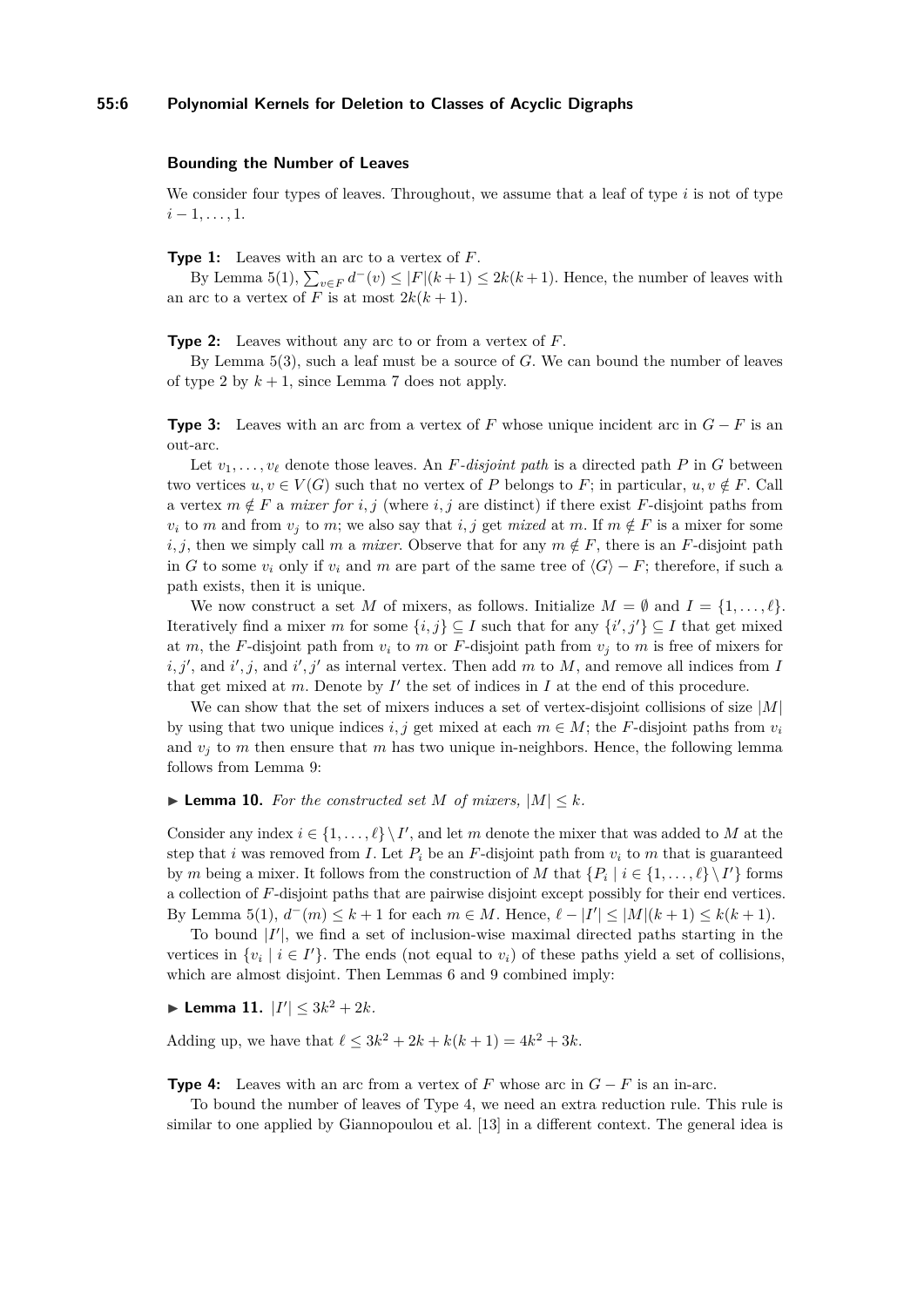## **Bounding the Number of Leaves**

We consider four types of leaves. Throughout, we assume that a leaf of type *i* is not of type *i* − 1*, . . . ,* 1.

**Type 1:** Leaves with an arc to a vertex of *F*.

By Lemma [5](#page-3-1)[\(1\)](#page-3-2),  $\sum_{v \in F} d^-(v) \leq |F|(k+1) \leq 2k(k+1)$ . Hence, the number of leaves with an arc to a vertex of *F* is at most  $2k(k+1)$ .

**Type 2:** Leaves without any arc to or from a vertex of *F*.

By Lemma [5\(](#page-3-1)[3\)](#page-3-3), such a leaf must be a source of *G*. We can bound the number of leaves of type 2 by  $k + 1$ , since Lemma [7](#page-4-1) does not apply.

**Type 3:** Leaves with an arc from a vertex of  $F$  whose unique incident arc in  $G - F$  is an out-arc.

Let  $v_1, \ldots, v_\ell$  denote those leaves. An *F-disjoint path* is a directed path *P* in *G* between two vertices  $u, v \in V(G)$  such that no vertex of *P* belongs to *F*; in particular,  $u, v \notin F$ . Call a vertex  $m \notin F$  a *mixer for*  $i, j$  (where  $i, j$  are distinct) if there exist *F*-disjoint paths from *v<sub>i</sub>* to *m* and from *v<sub>i</sub>* to *m*; we also say that *i, j* get *mixed* at *m*. If  $m \notin F$  is a mixer for some *i, j*, then we simply call *m* a *mixer*. Observe that for any  $m \notin F$ , there is an *F*-disjoint path in *G* to some  $v_i$  only if  $v_i$  and *m* are part of the same tree of  $\langle G \rangle - F$ ; therefore, if such a path exists, then it is unique.

We now construct a set M of mixers, as follows. Initialize  $M = \emptyset$  and  $I = \{1, \ldots, \ell\}$ . Iteratively find a mixer *m* for some  $\{i, j\} \subseteq I$  such that for any  $\{i', j'\} \subseteq I$  that get mixed at *m*, the *F*-disjoint path from  $v_i$  to *m* or *F*-disjoint path from  $v_j$  to *m* is free of mixers for  $i, j'$ , and  $i', j$ , and  $i'$ ,  $j'$  as internal vertex. Then add *m* to *M*, and remove all indices from *I* that get mixed at  $m$ . Denote by  $I'$  the set of indices in  $I$  at the end of this procedure.

We can show that the set of mixers induces a set of vertex-disjoint collisions of size  $|M|$ by using that two unique indices *i, j* get mixed at each  $m \in M$ ; the *F*-disjoint paths from *v*<sub>*i*</sub> and  $v_i$  to *m* then ensure that *m* has two unique in-neighbors. Hence, the following lemma follows from Lemma [9:](#page-4-0)

<span id="page-5-0"></span> $\blacktriangleright$  **Lemma 10.** For the constructed set M of mixers,  $|M| \leq k$ .

Consider any index  $i \in \{1, \ldots, \ell\} \backslash I'$ , and let *m* denote the mixer that was added to *M* at the step that *i* was removed from *I*. Let  $P_i$  be an *F*-disjoint path from  $v_i$  to *m* that is guaranteed by *m* being a mixer. It follows from the construction of *M* that  $\{P_i \mid i \in \{1, \ldots, \ell\} \setminus I'\}$  forms a collection of *F*-disjoint paths that are pairwise disjoint except possibly for their end vertices. By Lemma [5\(](#page-3-1)[1\)](#page-3-2),  $d^-(m) \leq k+1$  for each  $m \in M$ . Hence,  $\ell - |I'| \leq |M|(k+1) \leq k(k+1)$ .

To bound  $|I'|$ , we find a set of inclusion-wise maximal directed paths starting in the vertices in  $\{v_i \mid i \in I'\}$ . The ends (not equal to  $v_i$ ) of these paths yield a set of collisions, which are almost disjoint. Then Lemmas [6](#page-3-4) and [9](#page-4-0) combined imply:

 $\blacktriangleright$  Lemma 11.  $|I'| \leq 3k^2 + 2k$ .

Adding up, we have that  $\ell \leq 3k^2 + 2k + k(k+1) = 4k^2 + 3k$ .

**Type 4:** Leaves with an arc from a vertex of  $F$  whose arc in  $G - F$  is an in-arc.

To bound the number of leaves of Type 4, we need an extra reduction rule. This rule is similar to one applied by Giannopoulou et al. [\[13\]](#page-12-6) in a different context. The general idea is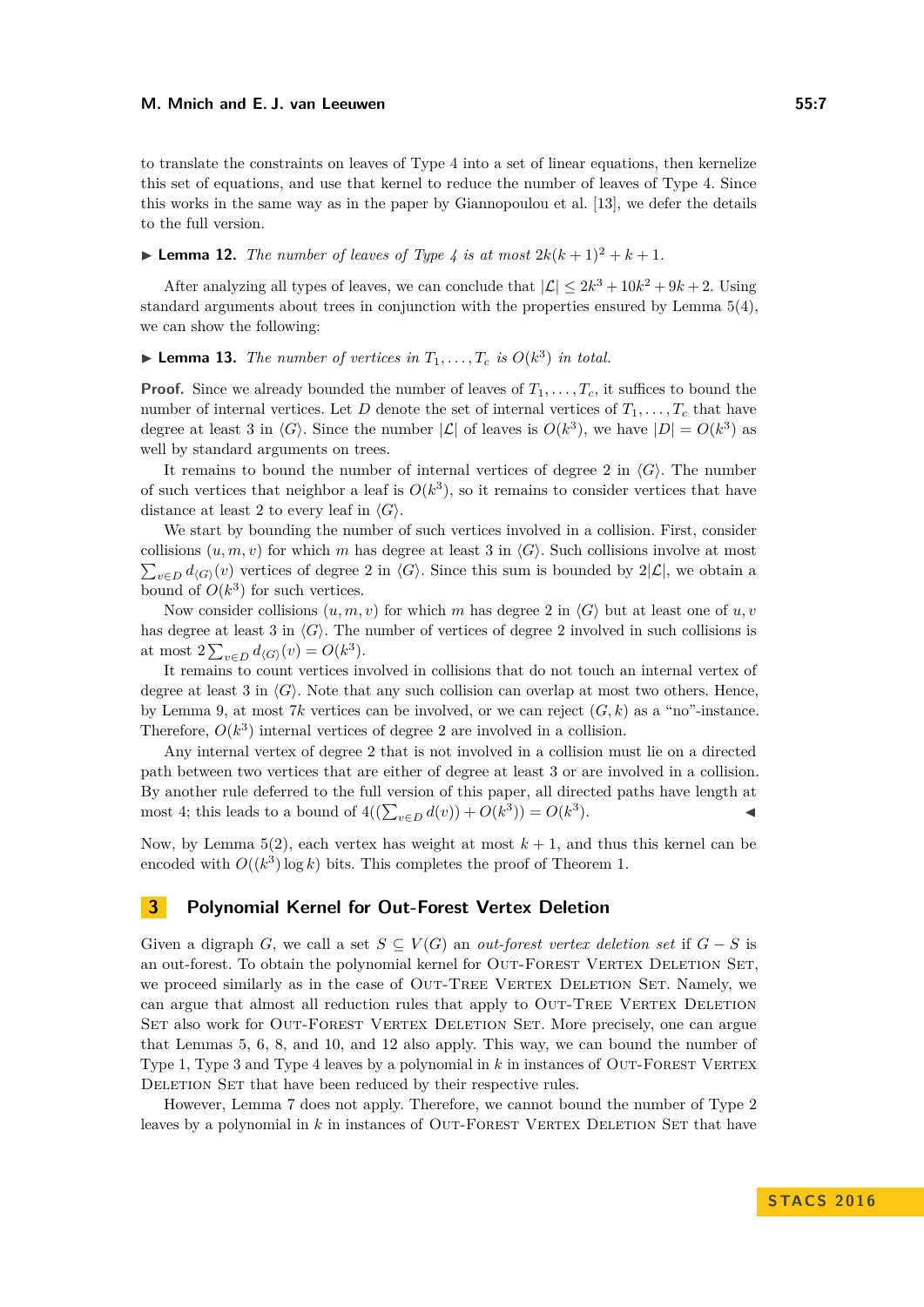to translate the constraints on leaves of Type 4 into a set of linear equations, then kernelize this set of equations, and use that kernel to reduce the number of leaves of Type 4. Since this works in the same way as in the paper by Giannopoulou et al. [\[13\]](#page-12-6), we defer the details to the full version.

# <span id="page-6-1"></span>**Lemma 12.** *The number of leaves of Type 4 is at most*  $2k(k+1)^2 + k + 1$ .

After analyzing all types of leaves, we can conclude that  $|\mathcal{L}| \leq 2k^3 + 10k^2 + 9k + 2$ . Using standard arguments about trees in conjunction with the properties ensured by Lemma  $5(4)$  $5(4)$ , we can show the following:

**Example 13.** The number of vertices in  $T_1, \ldots, T_c$  is  $O(k^3)$  in total.

**Proof.** Since we already bounded the number of leaves of  $T_1, \ldots, T_c$ , it suffices to bound the number of internal vertices. Let *D* denote the set of internal vertices of  $T_1, \ldots, T_c$  that have degree at least 3 in  $\langle G \rangle$ . Since the number  $|\mathcal{L}|$  of leaves is  $O(k^3)$ , we have  $|D| = O(k^3)$  as well by standard arguments on trees.

It remains to bound the number of internal vertices of degree 2 in  $\langle G \rangle$ . The number of such vertices that neighbor a leaf is  $O(k^3)$ , so it remains to consider vertices that have distance at least 2 to every leaf in  $\langle G \rangle$ .

We start by bounding the number of such vertices involved in a collision. First, consider collisions  $(u, m, v)$  for which *m* has degree at least 3 in  $\langle G \rangle$ . Such collisions involve at most  $\sum_{v\in D} d_{\langle G\rangle}(v)$  vertices of degree 2 in  $\langle G\rangle$ . Since this sum is bounded by 2|L|, we obtain a bound of  $O(k^3)$  for such vertices.

Now consider collisions  $(u, m, v)$  for which *m* has degree 2 in  $\langle G \rangle$  but at least one of *u, v* has degree at least 3 in  $\langle G \rangle$ . The number of vertices of degree 2 involved in such collisions is at most  $2\sum_{v\in D} d_{\langle G \rangle}(v) = O(k^3)$ .

It remains to count vertices involved in collisions that do not touch an internal vertex of degree at least 3 in  $\langle G \rangle$ . Note that any such collision can overlap at most two others. Hence, by Lemma [9,](#page-4-0) at most 7k vertices can be involved, or we can reject  $(G, k)$  as a "no"-instance. Therefore,  $O(k^3)$  internal vertices of degree 2 are involved in a collision.

Any internal vertex of degree 2 that is not involved in a collision must lie on a directed path between two vertices that are either of degree at least 3 or are involved in a collision. By another rule deferred to the full version of this paper, all directed paths have length at most 4; this leads to a bound of  $4((\sum_{v \in D} d(v)) + O(k^3)) = O(k^3)$  $\blacksquare$ ).

Now, by Lemma  $5(2)$  $5(2)$ , each vertex has weight at most  $k + 1$ , and thus this kernel can be encoded with  $O((k^3) \log k)$  bits. This completes the proof of Theorem [1.](#page-2-0)

# <span id="page-6-0"></span>**3 Polynomial Kernel for Out-Forest Vertex Deletion**

Given a digraph *G*, we call a set  $S \subseteq V(G)$  an *out-forest vertex deletion set* if  $G - S$  is an out-forest. To obtain the polynomial kernel for OUT-FOREST VERTEX DELETION SET, we proceed similarly as in the case of OUT-TREE VERTEX DELETION SET. Namely, we can argue that almost all reduction rules that apply to OUT-TREE VERTEX DELETION SET also work for OUT-FOREST VERTEX DELETION SET. More precisely, one can argue that Lemmas [5,](#page-3-1) [6,](#page-3-4) [8,](#page-4-2) and [10,](#page-5-0) and [12](#page-6-1) also apply. This way, we can bound the number of Type 1, Type 3 and Type 4 leaves by a polynomial in *k* in instances of Out-Forest Vertex DELETION SET that have been reduced by their respective rules.

However, Lemma [7](#page-4-1) does not apply. Therefore, we cannot bound the number of Type 2 leaves by a polynomial in  $k$  in instances of OUT-FOREST VERTEX DELETION SET that have

**STACS 2016**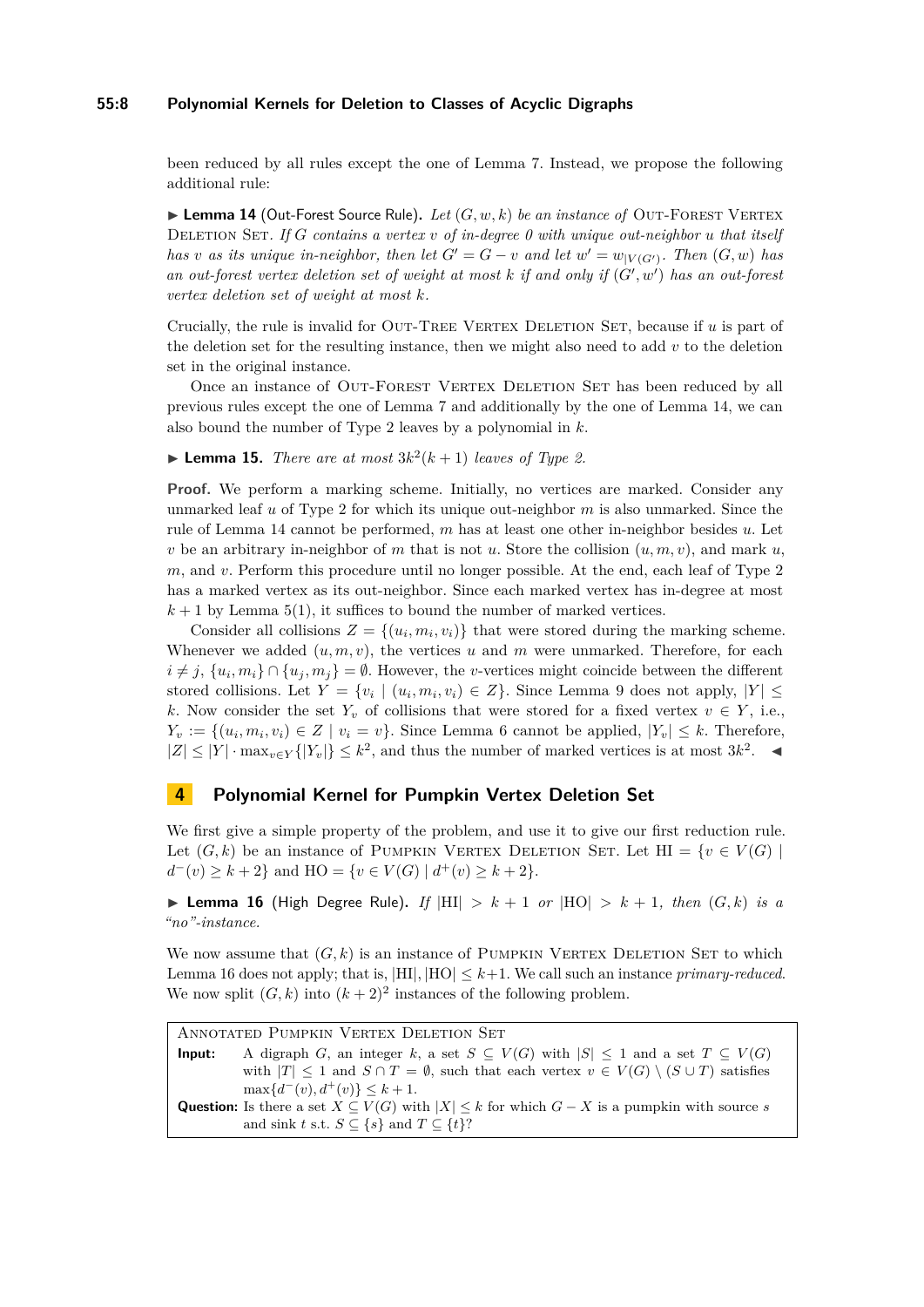## **55:8 Polynomial Kernels for Deletion to Classes of Acyclic Digraphs**

been reduced by all rules except the one of Lemma [7.](#page-4-1) Instead, we propose the following additional rule:

<span id="page-7-1"></span> $\blacktriangleright$  **Lemma 14** (Out-Forest Source Rule). Let  $(G, w, k)$  be an instance of OUT-FOREST VERTEX Deletion Set*. If G contains a vertex v of in-degree 0 with unique out-neighbor u that itself has v as its unique in-neighbor, then let*  $G' = G - v$  *and let*  $w' = w_{|V(G')}$ . Then  $(G, w)$  *has* an out-forest vertex deletion set of weight at most  $k$  if and only if  $(G', w')$  has an out-forest *vertex deletion set of weight at most k.*

Crucially, the rule is invalid for Out-Tree Vertex Deletion Set, because if *u* is part of the deletion set for the resulting instance, then we might also need to add  $v$  to the deletion set in the original instance.

Once an instance of OUT-FOREST VERTEX DELETION SET has been reduced by all previous rules except the one of Lemma [7](#page-4-1) and additionally by the one of Lemma [14,](#page-7-1) we can also bound the number of Type 2 leaves by a polynomial in *k*.

**Lemma 15.** *There are at most*  $3k^2(k+1)$  *leaves of Type 2.* 

**Proof.** We perform a marking scheme. Initially, no vertices are marked. Consider any unmarked leaf *u* of Type 2 for which its unique out-neighbor *m* is also unmarked. Since the rule of Lemma [14](#page-7-1) cannot be performed, *m* has at least one other in-neighbor besides *u*. Let *v* be an arbitrary in-neighbor of *m* that is not *u*. Store the collision  $(u, m, v)$ , and mark *u*, *m*, and *v*. Perform this procedure until no longer possible. At the end, each leaf of Type 2 has a marked vertex as its out-neighbor. Since each marked vertex has in-degree at most  $k+1$  by Lemma [5\(](#page-3-1)[1\)](#page-3-2), it suffices to bound the number of marked vertices.

Consider all collisions  $Z = \{(u_i, m_i, v_i)\}\$  that were stored during the marking scheme. Whenever we added  $(u, m, v)$ , the vertices  $u$  and  $m$  were unmarked. Therefore, for each  $i \neq j$ ,  $\{u_i, m_i\} \cap \{u_j, m_j\} = \emptyset$ . However, the *v*-vertices might coincide between the different stored collisions. Let  $Y = \{v_i \mid (u_i, m_i, v_i) \in Z\}$ . Since Lemma [9](#page-4-0) does not apply,  $|Y| \leq$ *k*. Now consider the set  $Y_v$  of collisions that were stored for a fixed vertex  $v \in Y$ , i.e.,  $Y_v := \{(u_i, m_i, v_i) \in Z \mid v_i = v\}$ . Since Lemma [6](#page-3-4) cannot be applied,  $|Y_v| \leq k$ . Therefore,  $|Z| \leq |Y| \cdot \max_{v \in Y} {\{|Y_v|\}} \leq k^2$ , and thus the number of marked vertices is at most  $3k^2$ .

# <span id="page-7-0"></span>**4 Polynomial Kernel for Pumpkin Vertex Deletion Set**

We first give a simple property of the problem, and use it to give our first reduction rule. Let  $(G, k)$  be an instance of PUMPKIN VERTEX DELETION SET. Let  $\text{HI} = \{v \in V(G) \mid$ *d*<sup>−</sup>(*v*) ≥ *k* + 2} and HO = {*v* ∈ *V*(*G*) |  $d^+(v)$  ≥ *k* + 2}.

<span id="page-7-2"></span>**Example 16** (High Degree Rule). If  $|H1| > k + 1$  *or*  $|HO| > k + 1$ , *then*  $(G, k)$  *is a "no"-instance.*

We now assume that  $(G, k)$  is an instance of PUMPKIN VERTEX DELETION SET to which Lemma [16](#page-7-2) does not apply; that is,  $|H|$ ,  $|HO| \leq k+1$ . We call such an instance *primary-reduced*. We now split  $(G, k)$  into  $(k + 2)^2$  instances of the following problem.

ANNOTATED PUMPKIN VERTEX DELETION SET **Input:** A digraph *G*, an integer *k*, a set  $S \subseteq V(G)$  with  $|S| \leq 1$  and a set  $T \subseteq V(G)$ with  $|T| \leq 1$  and  $S \cap T = \emptyset$ , such that each vertex  $v \in V(G) \setminus (S \cup T)$  satisfies  $\max\{d^-(v), d^+(v)\} \leq k+1.$ **Question:** Is there a set  $X \subseteq V(G)$  with  $|X| \leq k$  for which  $G - X$  is a pumpkin with source *s* and sink *t* s.t.  $S \subseteq \{s\}$  and  $T \subseteq \{t\}$ ?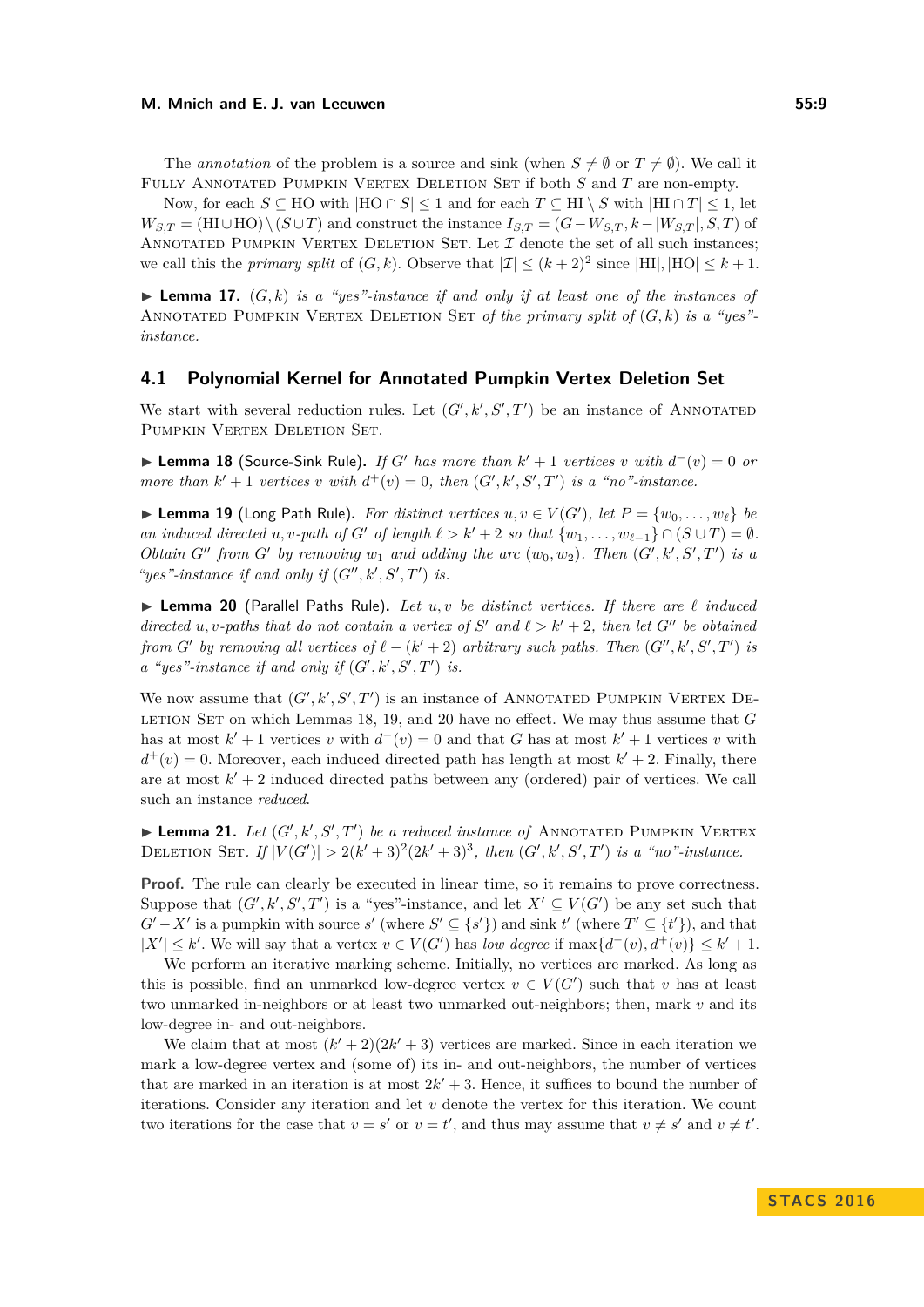The *annotation* of the problem is a source and sink (when  $S \neq \emptyset$  or  $T \neq \emptyset$ ). We call it Fully Annotated Pumpkin Vertex Deletion Set if both *S* and *T* are non-empty.

Now, for each  $S \subseteq HO$  with  $|HO \cap S| \leq 1$  and for each  $T \subseteq HI \setminus S$  with  $|HI \cap T| \leq 1$ , let  $W_{S,T} = (H\text{I} \cup \text{H} \text{O}) \setminus (S \cup T)$  and construct the instance  $I_{S,T} = (G - W_{S,T}, k - |W_{S,T}|, S, T)$  of ANNOTATED PUMPKIN VERTEX DELETION SET. Let  $\mathcal I$  denote the set of all such instances; we call this the *primary split* of  $(G, k)$ . Observe that  $|\mathcal{I}| \leq (k+2)^2$  since  $|H|, |HO| \leq k+1$ .

<span id="page-8-3"></span>**Lemma 17.**  $(G, k)$  *is a "yes"-instance if and only if at least one of the instances of* Annotated Pumpkin Vertex Deletion Set *of the primary split of* (*G, k*) *is a "yes" instance.*

## **4.1 Polynomial Kernel for Annotated Pumpkin Vertex Deletion Set**

We start with several reduction rules. Let  $(G', k', S', T')$  be an instance of ANNOTATED PUMPKIN VERTEX DELETION SET.

<span id="page-8-0"></span>▶ **Lemma 18** (Source-Sink Rule). If G' has more than  $k' + 1$  vertices *v* with  $d^-(v) = 0$  or *more than*  $k' + 1$  *vertices*  $v$  *with*  $d^+(v) = 0$ *, then*  $(G', k', S', T')$  *is a "no"-instance.* 

<span id="page-8-1"></span>▶ **Lemma 19** (Long Path Rule). For distinct vertices  $u, v \in V(G')$ , let  $P = \{w_0, \ldots, w_\ell\}$  be *an induced directed u, v*-path of *G*<sup>'</sup> of length  $\ell > k' + 2$  so that  $\{w_1, \ldots, w_{\ell-1}\} \cap (S \cup T) = \emptyset$ . *Obtain*  $G''$  *from*  $G'$  *by removing*  $w_1$  *and adding the arc*  $(w_0, w_2)$ *. Then*  $(G', k', S', T')$  *is a* "yes"-instance if and only if  $(G'', k', S', T')$  is.

<span id="page-8-2"></span> $\blacktriangleright$  **Lemma 20** (Parallel Paths Rule). Let  $u, v$  be distinct vertices. If there are  $\ell$  induced *directed u, v-paths that do not contain a vertex of*  $S'$  *and*  $\ell > k' + 2$ *, then let*  $G''$  *be obtained from G*<sup> $\prime$ </sup> *by removing all vertices of*  $\ell - (k' + 2)$  *arbitrary such paths. Then*  $(G'', k', S', T')$  *is a* "yes"-instance if and only if  $(G', k', S', T')$  is.

We now assume that  $(G', k', S', T')$  is an instance of ANNOTATED PUMPKIN VERTEX DEletion Set on which Lemmas [18,](#page-8-0) [19,](#page-8-1) and [20](#page-8-2) have no effect. We may thus assume that *G* has at most  $k' + 1$  vertices *v* with  $d^-(v) = 0$  and that *G* has at most  $k' + 1$  vertices *v* with  $d^+(v) = 0$ . Moreover, each induced directed path has length at most  $k' + 2$ . Finally, there are at most  $k' + 2$  induced directed paths between any (ordered) pair of vertices. We call such an instance *reduced*.

**Lemma 21.** Let  $(G', k', S', T')$  be a reduced instance of ANNOTATED PUMPKIN VERTEX DELETION SET. If  $|V(G')| > 2(k'+3)^2(2k'+3)^3$ , then  $(G', k', S', T')$  is a "no"-instance.

**Proof.** The rule can clearly be executed in linear time, so it remains to prove correctness. Suppose that  $(G', k', S', T')$  is a "yes"-instance, and let  $X' \subseteq V(G')$  be any set such that  $G' - X'$  is a pumpkin with source  $s'$  (where  $S' \subseteq \{s'\}$ ) and sink  $t'$  (where  $T' \subseteq \{t'\}$ ), and that  $|X'|$  ≤ *k*'. We will say that a vertex  $v \in V(G')$  has *low degree* if max $\{d^-(v), d^+(v)\}$  ≤  $k' + 1$ .

We perform an iterative marking scheme. Initially, no vertices are marked. As long as this is possible, find an unmarked low-degree vertex  $v \in V(G')$  such that *v* has at least two unmarked in-neighbors or at least two unmarked out-neighbors; then, mark *v* and its low-degree in- and out-neighbors.

We claim that at most  $(k' + 2)(2k' + 3)$  vertices are marked. Since in each iteration we mark a low-degree vertex and (some of) its in- and out-neighbors, the number of vertices that are marked in an iteration is at most  $2k' + 3$ . Hence, it suffices to bound the number of iterations. Consider any iteration and let *v* denote the vertex for this iteration. We count two iterations for the case that  $v = s'$  or  $v = t'$ , and thus may assume that  $v \neq s'$  and  $v \neq t'$ .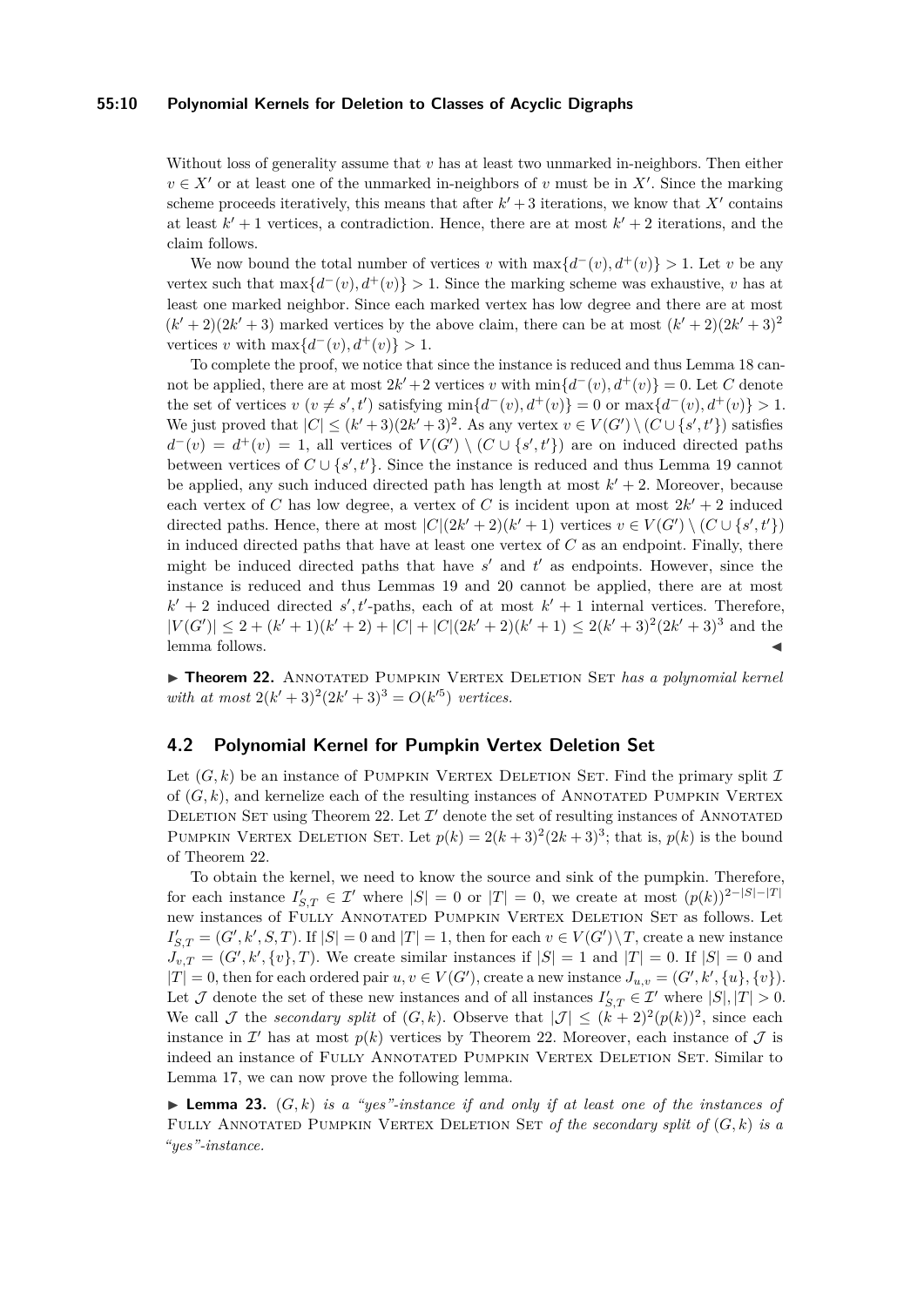### **55:10 Polynomial Kernels for Deletion to Classes of Acyclic Digraphs**

Without loss of generality assume that *v* has at least two unmarked in-neighbors. Then either  $v \in X'$  or at least one of the unmarked in-neighbors of *v* must be in X<sup>'</sup>. Since the marking scheme proceeds iteratively, this means that after  $k' + 3$  iterations, we know that  $X'$  contains at least  $k' + 1$  vertices, a contradiction. Hence, there are at most  $k' + 2$  iterations, and the claim follows.

We now bound the total number of vertices *v* with  $\max\{d^-(v), d^+(v)\} > 1$ . Let *v* be any vertex such that  $\max\{d^-(v), d^+(v)\} > 1$ . Since the marking scheme was exhaustive, *v* has at least one marked neighbor. Since each marked vertex has low degree and there are at most  $(k'+2)(2k'+3)$  marked vertices by the above claim, there can be at most  $(k'+2)(2k'+3)^2$ vertices *v* with  $\max\{d^-(v), d^+(v)\} > 1$ .

To complete the proof, we notice that since the instance is reduced and thus Lemma [18](#page-8-0) cannot be applied, there are at most  $2k' + 2$  vertices *v* with  $\min\{d^-(v), d^+(v)\} = 0$ . Let *C* denote the set of vertices  $v(v \neq s', t')$  satisfying  $\min\{d^-(v), d^+(v)\} = 0$  or  $\max\{d^-(v), d^+(v)\} > 1$ . We just proved that  $|C| \leq (k'+3)(2k'+3)^2$ . As any vertex  $v \in V(G') \setminus (C \cup \{s',t'\})$  satisfies  $d^-(v) = d^+(v) = 1$ , all vertices of  $V(G') \setminus (C \cup \{s', t'\})$  are on induced directed paths between vertices of  $C \cup \{s', t'\}$ . Since the instance is reduced and thus Lemma [19](#page-8-1) cannot be applied, any such induced directed path has length at most  $k' + 2$ . Moreover, because each vertex of *C* has low degree, a vertex of *C* is incident upon at most  $2k' + 2$  induced directed paths. Hence, there at most  $|C|(2k'+2)(k'+1)$  vertices  $v \in V(G') \setminus (C \cup \{s',t'\})$ in induced directed paths that have at least one vertex of *C* as an endpoint. Finally, there might be induced directed paths that have  $s'$  and  $t'$  as endpoints. However, since the instance is reduced and thus Lemmas [19](#page-8-1) and [20](#page-8-2) cannot be applied, there are at most  $k' + 2$  induced directed *s*', *t*'-paths, each of at most  $k' + 1$  internal vertices. Therefore,  $|V(G')| \leq 2 + (k' + 1)(k' + 2) + |C| + |C|(2k' + 2)(k' + 1) \leq 2(k' + 3)^{2}(2k' + 3)^{3}$  and the lemma follows.

<span id="page-9-0"></span>**Finds 22.** ANNOTATED PUMPKIN VERTEX DELETION SET *has a polynomial kernel with at most*  $2(k' + 3)^2(2k' + 3)^3 = O(k^{\prime 5})$  *vertices.* 

# **4.2 Polynomial Kernel for Pumpkin Vertex Deletion Set**

Let  $(G, k)$  be an instance of PUMPKIN VERTEX DELETION SET. Find the primary split  $\mathcal I$ of  $(G, k)$ , and kernelize each of the resulting instances of ANNOTATED PUMPKIN VERTEX DELETION SET using Theorem [22.](#page-9-0) Let  $\mathcal{I}'$  denote the set of resulting instances of ANNOTATED PUMPKIN VERTEX DELETION SET. Let  $p(k) = 2(k+3)^2(2k+3)^3$ ; that is,  $p(k)$  is the bound of Theorem [22.](#page-9-0)

To obtain the kernel, we need to know the source and sink of the pumpkin. Therefore, for each instance  $I'_{S,T} \in \mathcal{I}'$  where  $|S| = 0$  or  $|T| = 0$ , we create at most  $(p(k))^{2-|S|-|T|}$ new instances of FULLY ANNOTATED PUMPKIN VERTEX DELETION SET as follows. Let  $I'_{S,T} = (G', k', S, T)$ . If  $|S| = 0$  and  $|T| = 1$ , then for each  $v \in V(G') \setminus T$ , create a new instance  $J_{v,T} = (G', k', \{v\}, T)$ . We create similar instances if  $|S| = 1$  and  $|T| = 0$ . If  $|S| = 0$  and  $|T| = 0$ , then for each ordered pair  $u, v \in V(G')$ , create a new instance  $J_{u,v} = (G', k', \{u\}, \{v\})$ . Let  $\mathcal{J}$  denote the set of these new instances and of all instances  $I'_{S,T} \in \mathcal{I}'$  where  $|S|, |T| > 0$ . We call  $\mathcal J$  the *secondary split* of  $(G, k)$ . Observe that  $|\mathcal J| \leq (k+2)^2(p(k))^2$ , since each instance in  $\mathcal{I}'$  has at most  $p(k)$  vertices by Theorem [22.](#page-9-0) Moreover, each instance of  $\mathcal{J}$  is indeed an instance of FULLY ANNOTATED PUMPKIN VERTEX DELETION SET. Similar to Lemma [17,](#page-8-3) we can now prove the following lemma.

 $\blacktriangleright$  **Lemma 23.**  $(G, k)$  *is a "yes"-instance if and only if at least one of the instances of* FULLY ANNOTATED PUMPKIN VERTEX DELETION SET of the secondary split of  $(G, k)$  is a *"yes"-instance.*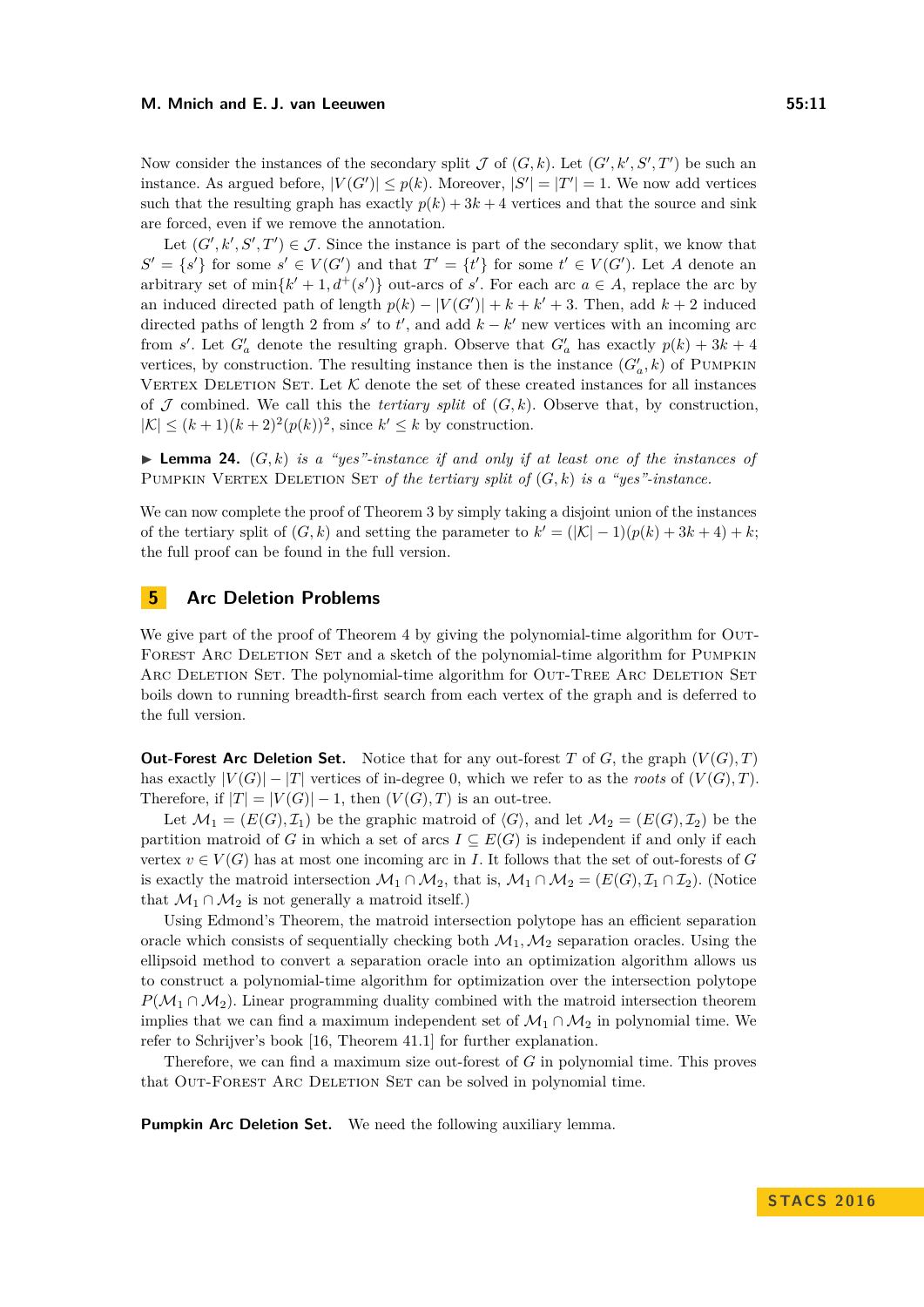Now consider the instances of the secondary split  $\mathcal J$  of  $(G, k)$ . Let  $(G', k', S', T')$  be such an instance. As argued before,  $|V(G')| \leq p(k)$ . Moreover,  $|S'| = |T'| = 1$ . We now add vertices such that the resulting graph has exactly  $p(k) + 3k + 4$  vertices and that the source and sink are forced, even if we remove the annotation.

Let  $(G', k', S', T') \in \mathcal{J}$ . Since the instance is part of the secondary split, we know that  $S' = \{s'\}$  for some  $s' \in V(G')$  and that  $T' = \{t'\}$  for some  $t' \in V(G')$ . Let *A* denote an arbitrary set of  $\min\{k' + 1, d^+(s')\}$  out-arcs of *s'*. For each arc  $a \in A$ , replace the arc by an induced directed path of length  $p(k) - |V(G')| + k + k' + 3$ . Then, add  $k + 2$  induced directed paths of length 2 from  $s'$  to  $t'$ , and add  $k - k'$  new vertices with an incoming arc from *s'*. Let  $G'_a$  denote the resulting graph. Observe that  $G'_a$  has exactly  $p(k) + 3k + 4$ vertices, by construction. The resulting instance then is the instance  $(G'_a, k)$  of PUMPKIN VERTEX DELETION SET. Let  $K$  denote the set of these created instances for all instances of  $\mathcal J$  combined. We call this the *tertiary split* of  $(G, k)$ . Observe that, by construction,  $|\mathcal{K}| \leq (k+1)(k+2)^2(p(k))^2$ , since  $k' \leq k$  by construction.

**Lemma 24.**  $(G, k)$  *is a "yes"-instance if and only if at least one of the instances of* PUMPKIN VERTEX DELETION SET of the tertiary split of  $(G, k)$  is a "yes"-instance.

We can now complete the proof of Theorem [3](#page-2-1) by simply taking a disjoint union of the instances of the tertiary split of  $(G, k)$  and setting the parameter to  $k' = (|\mathcal{K}| - 1)(p(k) + 3k + 4) + k$ ; the full proof can be found in the full version.

## <span id="page-10-0"></span>**5 Arc Deletion Problems**

We give part of the proof of Theorem [4](#page-3-7) by giving the polynomial-time algorithm for OUT-FOREST ARC DELETION SET and a sketch of the polynomial-time algorithm for PUMPKIN ARC DELETION SET. The polynomial-time algorithm for OUT-TREE ARC DELETION SET boils down to running breadth-first search from each vertex of the graph and is deferred to the full version.

**Out-Forest Arc Deletion Set.** Notice that for any out-forest *T* of *G*, the graph  $(V(G), T)$ has exactly  $|V(G)| - |T|$  vertices of in-degree 0, which we refer to as the *roots* of  $(V(G), T)$ . Therefore, if  $|T| = |V(G)| - 1$ , then  $(V(G), T)$  is an out-tree.

Let  $\mathcal{M}_1 = (E(G), \mathcal{I}_1)$  be the graphic matroid of  $\langle G \rangle$ , and let  $\mathcal{M}_2 = (E(G), \mathcal{I}_2)$  be the partition matroid of *G* in which a set of arcs  $I \subseteq E(G)$  is independent if and only if each vertex  $v \in V(G)$  has at most one incoming arc in *I*. It follows that the set of out-forests of *G* is exactly the matroid intersection  $\mathcal{M}_1 \cap \mathcal{M}_2$ , that is,  $\mathcal{M}_1 \cap \mathcal{M}_2 = (E(G), \mathcal{I}_1 \cap \mathcal{I}_2)$ . (Notice that  $\mathcal{M}_1 \cap \mathcal{M}_2$  is not generally a matroid itself.)

Using Edmond's Theorem, the matroid intersection polytope has an efficient separation oracle which consists of sequentially checking both  $\mathcal{M}_1, \mathcal{M}_2$  separation oracles. Using the ellipsoid method to convert a separation oracle into an optimization algorithm allows us to construct a polynomial-time algorithm for optimization over the intersection polytope  $P(\mathcal{M}_1 \cap \mathcal{M}_2)$ . Linear programming duality combined with the matroid intersection theorem implies that we can find a maximum independent set of  $\mathcal{M}_1 \cap \mathcal{M}_2$  in polynomial time. We refer to Schrijver's book [\[16,](#page-12-20) Theorem 41.1] for further explanation.

Therefore, we can find a maximum size out-forest of *G* in polynomial time. This proves that OUT-FOREST ARC DELETION SET can be solved in polynomial time.

Pumpkin Arc Deletion Set. We need the following auxiliary lemma.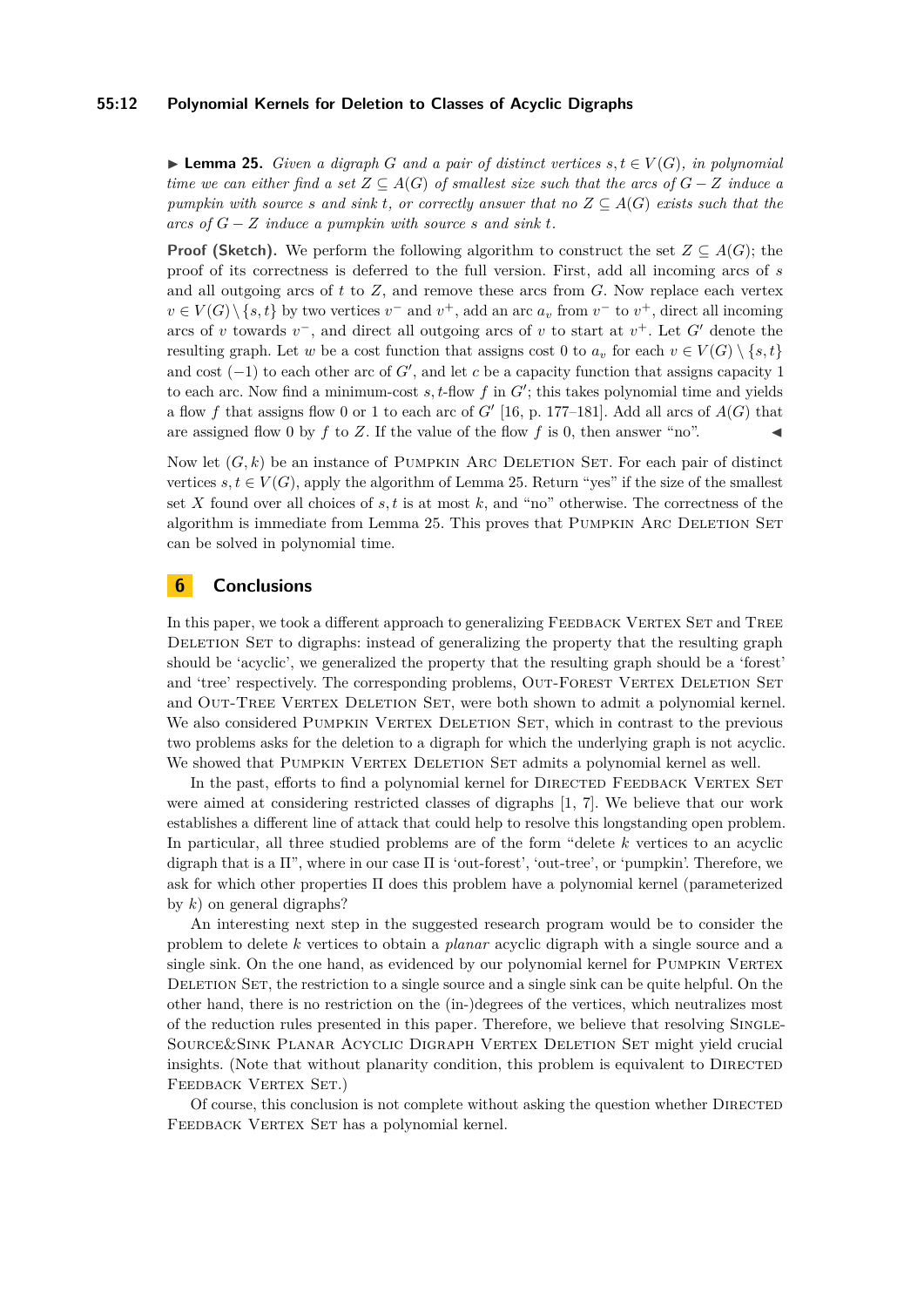## **55:12 Polynomial Kernels for Deletion to Classes of Acyclic Digraphs**

<span id="page-11-0"></span>**► Lemma 25.** *Given a digraph G and a pair of distinct vertices*  $s, t \in V(G)$ *, in polynomial time we can either find a set*  $Z \subseteq A(G)$  *of smallest size such that the arcs of*  $G - Z$  *induce a pumpkin with source s* and sink *t*, or correctly answer that no  $Z \subseteq A(G)$  exists such that the *arcs of G* − *Z induce a pumpkin with source s and sink t.*

**Proof (Sketch).** We perform the following algorithm to construct the set  $Z \subseteq A(G)$ ; the proof of its correctness is deferred to the full version. First, add all incoming arcs of *s* and all outgoing arcs of *t* to *Z*, and remove these arcs from *G*. Now replace each vertex  $v \in V(G) \setminus \{s, t\}$  by two vertices  $v^-$  and  $v^+$ , add an arc  $a_v$  from  $v^-$  to  $v^+$ , direct all incoming arcs of *v* towards  $v^-$ , and direct all outgoing arcs of *v* to start at  $v^+$ . Let  $G'$  denote the resulting graph. Let *w* be a cost function that assigns cost 0 to  $a_v$  for each  $v \in V(G) \setminus \{s, t\}$ and cost  $(-1)$  to each other arc of *G'*, and let *c* be a capacity function that assigns capacity 1 to each arc. Now find a minimum-cost  $s, t$ -flow  $f$  in  $G'$ ; this takes polynomial time and yields a flow f that assigns flow 0 or 1 to each arc of  $G'$  [\[16,](#page-12-20) p. 177–181]. Add all arcs of  $A(G)$  that are assigned flow 0 by  $f$  to  $Z$ . If the value of the flow  $f$  is 0, then answer "no".

Now let  $(G, k)$  be an instance of PUMPKIN ARC DELETION SET. For each pair of distinct vertices  $s, t \in V(G)$ , apply the algorithm of Lemma [25.](#page-11-0) Return "yes" if the size of the smallest set *X* found over all choices of *s, t* is at most *k*, and "no" otherwise. The correctness of the algorithm is immediate from Lemma [25.](#page-11-0) This proves that PUMPKIN ARC DELETION SET can be solved in polynomial time.

# **6 Conclusions**

In this paper, we took a different approach to generalizing FEEDBACK VERTEX SET and TREE DELETION SET to digraphs: instead of generalizing the property that the resulting graph should be 'acyclic', we generalized the property that the resulting graph should be a 'forest' and 'tree' respectively. The corresponding problems, OUT-FOREST VERTEX DELETION SET and OUT-TREE VERTEX DELETION SET, were both shown to admit a polynomial kernel. We also considered PUMPKIN VERTEX DELETION SET, which in contrast to the previous two problems asks for the deletion to a digraph for which the underlying graph is not acyclic. We showed that PUMPKIN VERTEX DELETION SET admits a polynomial kernel as well.

In the past, efforts to find a polynomial kernel for DIRECTED FEEDBACK VERTEX SET were aimed at considering restricted classes of digraphs [\[1,](#page-12-15) [7\]](#page-12-16). We believe that our work establishes a different line of attack that could help to resolve this longstanding open problem. In particular, all three studied problems are of the form "delete *k* vertices to an acyclic digraph that is a  $\Pi$ ", where in our case  $\Pi$  is 'out-forest', 'out-tree', or 'pumpkin'. Therefore, we ask for which other properties Π does this problem have a polynomial kernel (parameterized by *k*) on general digraphs?

An interesting next step in the suggested research program would be to consider the problem to delete *k* vertices to obtain a *planar* acyclic digraph with a single source and a single sink. On the one hand, as evidenced by our polynomial kernel for PUMPKIN VERTEX DELETION SET, the restriction to a single source and a single sink can be quite helpful. On the other hand, there is no restriction on the (in-)degrees of the vertices, which neutralizes most of the reduction rules presented in this paper. Therefore, we believe that resolving Single-Source&Sink Planar Acyclic Digraph Vertex Deletion Set might yield crucial insights. (Note that without planarity condition, this problem is equivalent to DIRECTED FEEDBACK VERTEX SET.)

Of course, this conclusion is not complete without asking the question whether Directed FEEDBACK VERTEX SET has a polynomial kernel.